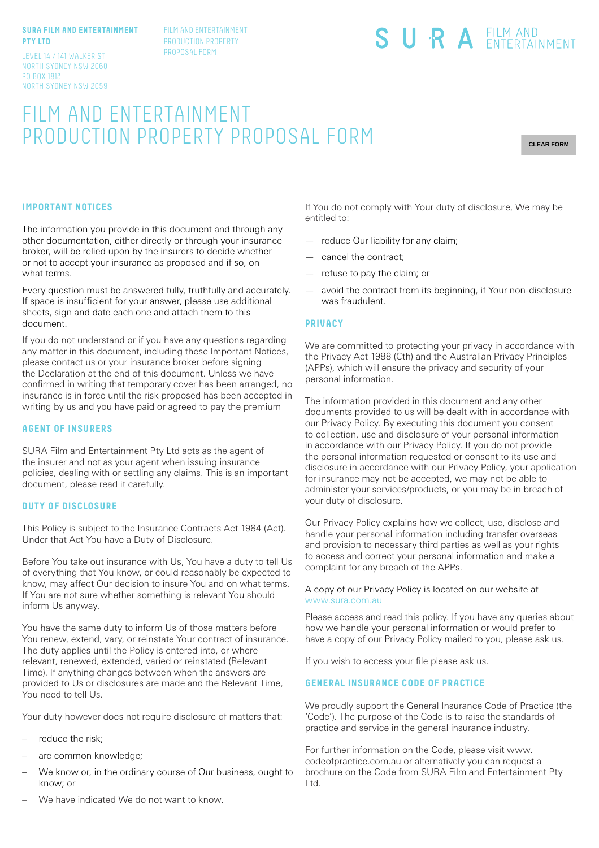#### **SURA FILM AND ENTERTAINMENT PTY LTD**

LEVEL 14 / 141 WALKER ST NORTH SYDNEY NSW 2060 PO BOX 1813 NORTH SYDNEY NSW 2059 FILM AND ENTERTAINMENT PRODUCTION PROPERTY PROPOSAL FORM

# SURA EILM AND

# FILM AND ENTERTAINMENT PRODUCTION PROPERTY PROPOSAL FORM

**CLEAR FORM**

## **IMPORTANT NOTICES**

The information you provide in this document and through any other documentation, either directly or through your insurance broker, will be relied upon by the insurers to decide whether or not to accept your insurance as proposed and if so, on what terms.

Every question must be answered fully, truthfully and accurately. If space is insufficient for your answer, please use additional sheets, sign and date each one and attach them to this document.

If you do not understand or if you have any questions regarding any matter in this document, including these Important Notices, please contact us or your insurance broker before signing the Declaration at the end of this document. Unless we have confirmed in writing that temporary cover has been arranged, no insurance is in force until the risk proposed has been accepted in writing by us and you have paid or agreed to pay the premium

#### **AGENT OF INSURERS**

SURA Film and Entertainment Pty Ltd acts as the agent of the insurer and not as your agent when issuing insurance policies, dealing with or settling any claims. This is an important document, please read it carefully.

#### **DUTY OF DISCLOSURE**

This Policy is subject to the Insurance Contracts Act 1984 (Act). Under that Act You have a Duty of Disclosure.

Before You take out insurance with Us, You have a duty to tell Us of everything that You know, or could reasonably be expected to know, may affect Our decision to insure You and on what terms. If You are not sure whether something is relevant You should inform Us anyway.

You have the same duty to inform Us of those matters before You renew, extend, vary, or reinstate Your contract of insurance. The duty applies until the Policy is entered into, or where relevant, renewed, extended, varied or reinstated (Relevant Time). If anything changes between when the answers are provided to Us or disclosures are made and the Relevant Time, You need to tell Us.

Your duty however does not require disclosure of matters that:

- reduce the risk;
- are common knowledge;
- We know or, in the ordinary course of Our business, ought to know; or
- If You do not comply with Your duty of disclosure, We may be entitled to:
- reduce Our liability for any claim;
- cancel the contract;
- refuse to pay the claim; or
- avoid the contract from its beginning, if Your non-disclosure was fraudulent.

#### **PRIVACY**

We are committed to protecting your privacy in accordance with the Privacy Act 1988 (Cth) and the Australian Privacy Principles (APPs), which will ensure the privacy and security of your personal information.

The information provided in this document and any other documents provided to us will be dealt with in accordance with our Privacy Policy. By executing this document you consent to collection, use and disclosure of your personal information in accordance with our Privacy Policy. If you do not provide the personal information requested or consent to its use and disclosure in accordance with our Privacy Policy, your application for insurance may not be accepted, we may not be able to administer your services/products, or you may be in breach of your duty of disclosure.

Our Privacy Policy explains how we collect, use, disclose and handle your personal information including transfer overseas and provision to necessary third parties as well as your rights to access and correct your personal information and make a complaint for any breach of the APPs.

#### A copy of our Privacy Policy is located on our website at www.sura.com.au

Please access and read this policy. If you have any queries about how we handle your personal information or would prefer to have a copy of our Privacy Policy mailed to you, please ask us.

If you wish to access your file please ask us.

## **GENERAL INSURANCE CODE OF PRACTICE**

We proudly support the General Insurance Code of Practice (the 'Code'). The purpose of the Code is to raise the standards of practice and service in the general insurance industry.

For further information on the Code, please visit www. codeofpractice.com.au or alternatively you can request a brochure on the Code from SURA Film and Entertainment Pty Ltd.

We have indicated We do not want to know.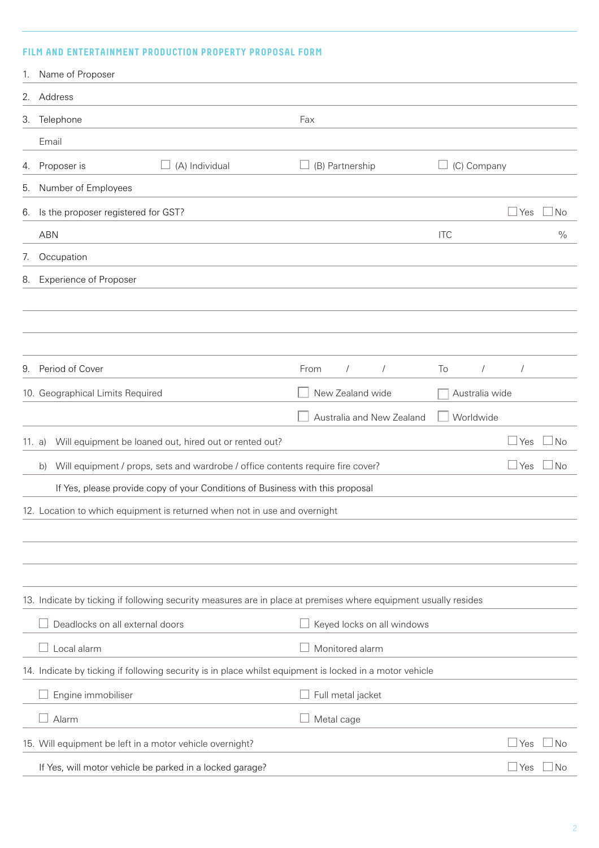# **FILM AND ENTERTAINMENT PRODUCTION PROPERTY PROPOSAL FORM**

| 1.                                                                        | Name of Proposer                                                                                                |                                |                  |              |           |
|---------------------------------------------------------------------------|-----------------------------------------------------------------------------------------------------------------|--------------------------------|------------------|--------------|-----------|
| 2.                                                                        | Address                                                                                                         |                                |                  |              |           |
| 3.                                                                        | Telephone                                                                                                       | Fax                            |                  |              |           |
|                                                                           | Email                                                                                                           |                                |                  |              |           |
| 4.                                                                        | Proposer is<br>(A) Individual                                                                                   | (B) Partnership                | (C) Company      |              |           |
| 5.                                                                        | Number of Employees                                                                                             |                                |                  |              |           |
| 6.                                                                        | Is the proposer registered for GST?                                                                             |                                |                  | ⊥Yes         | No        |
|                                                                           | <b>ABN</b>                                                                                                      |                                | <b>ITC</b>       |              | $\%$      |
| 7.                                                                        | Occupation                                                                                                      |                                |                  |              |           |
| 8.                                                                        | <b>Experience of Proposer</b>                                                                                   |                                |                  |              |           |
|                                                                           |                                                                                                                 |                                |                  |              |           |
|                                                                           |                                                                                                                 |                                |                  |              |           |
|                                                                           |                                                                                                                 |                                |                  |              |           |
| 9.                                                                        | Period of Cover                                                                                                 | $\sqrt{ }$<br>From<br>$\prime$ | To<br>$\sqrt{ }$ | $\prime$     |           |
|                                                                           | 10. Geographical Limits Required                                                                                | New Zealand wide               | Australia wide   |              |           |
|                                                                           |                                                                                                                 | Australia and New Zealand      | Worldwide        |              |           |
| 11. a)                                                                    | Will equipment be loaned out, hired out or rented out?                                                          |                                |                  | $\Box$ Yes   | ⊿ No      |
|                                                                           | Will equipment / props, sets and wardrobe / office contents require fire cover?<br>b)                           |                                |                  | $\sqcup$ Yes | $\Box$ No |
|                                                                           | If Yes, please provide copy of your Conditions of Business with this proposal                                   |                                |                  |              |           |
| 12. Location to which equipment is returned when not in use and overnight |                                                                                                                 |                                |                  |              |           |
|                                                                           |                                                                                                                 |                                |                  |              |           |
|                                                                           |                                                                                                                 |                                |                  |              |           |
|                                                                           |                                                                                                                 |                                |                  |              |           |
|                                                                           | 13. Indicate by ticking if following security measures are in place at premises where equipment usually resides |                                |                  |              |           |
|                                                                           | Deadlocks on all external doors                                                                                 | Keyed locks on all windows     |                  |              |           |
|                                                                           | Local alarm                                                                                                     | Monitored alarm                |                  |              |           |
|                                                                           | 14. Indicate by ticking if following security is in place whilst equipment is locked in a motor vehicle         |                                |                  |              |           |
|                                                                           | Engine immobiliser                                                                                              | Full metal jacket              |                  |              |           |
|                                                                           | Alarm                                                                                                           | Metal cage                     |                  |              |           |
|                                                                           | 15. Will equipment be left in a motor vehicle overnight?                                                        |                                |                  | ⊥Yes         | $\Box$ No |
|                                                                           | If Yes, will motor vehicle be parked in a locked garage?                                                        |                                |                  | $\sqcup$ Yes | $\Box$ No |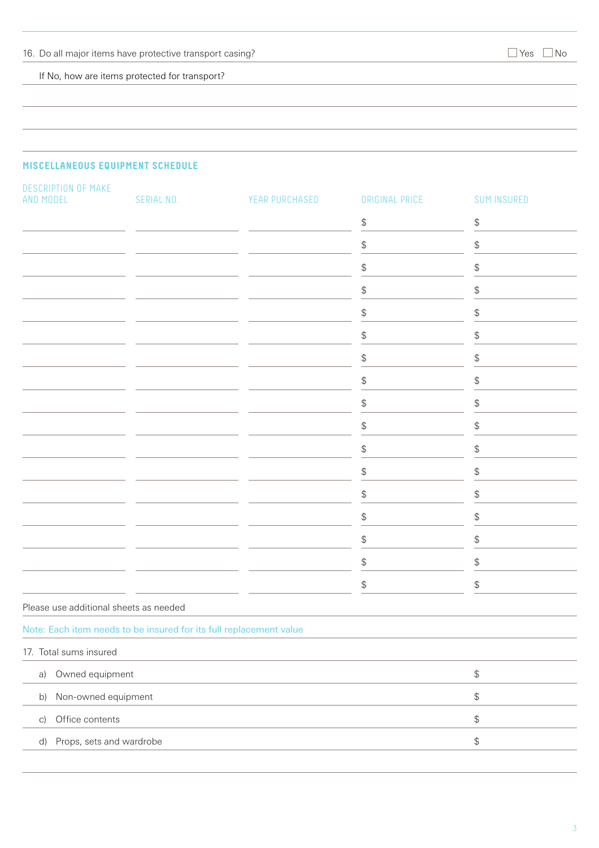If No, how are items protected for transport?

# **MISCELLANEOUS EQUIPMENT SCHEDULE**

| DESCRIPTION OF MAKE<br>AND MODEL                                   | SERIAL NO. | YEAR PURCHASED | ORIGINAL PRICE                                | <b>SUM INSURED</b>                            |
|--------------------------------------------------------------------|------------|----------------|-----------------------------------------------|-----------------------------------------------|
|                                                                    |            |                | \$                                            | $\, \, \raisebox{12pt}{$\scriptstyle \circ$}$ |
|                                                                    |            |                | \$                                            | \$                                            |
|                                                                    |            |                | \$                                            | \$                                            |
|                                                                    |            |                | \$                                            | \$                                            |
|                                                                    |            |                | \$                                            | $\, \, \raisebox{12pt}{$\scriptstyle \circ$}$ |
|                                                                    |            |                | \$                                            | $\, \, \raisebox{12pt}{$\scriptstyle \circ$}$ |
|                                                                    |            |                | \$                                            | $\, \, \raisebox{12pt}{$\scriptstyle \circ$}$ |
|                                                                    |            |                | \$                                            | $\, \, \raisebox{12pt}{$\scriptstyle \circ$}$ |
|                                                                    |            |                | \$                                            | $\, \, \raisebox{12pt}{$\scriptstyle \circ$}$ |
|                                                                    |            |                | $\, \, \raisebox{12pt}{$\scriptstyle \circ$}$ | \$                                            |
|                                                                    |            |                | \$                                            | \$                                            |
|                                                                    |            |                | \$                                            | \$                                            |
|                                                                    |            |                | \$                                            | \$                                            |
|                                                                    |            |                | \$                                            | \$                                            |
|                                                                    |            |                | \$                                            | \$                                            |
|                                                                    |            |                | \$                                            | $\, \, \raisebox{12pt}{$\scriptstyle \$}$     |
|                                                                    |            |                | \$                                            | $\, \, \raisebox{12pt}{$\scriptstyle \circ$}$ |
| Please use additional sheets as needed                             |            |                |                                               |                                               |
| Note: Each item needs to be insured for its full replacement value |            |                |                                               |                                               |
| 17. Total sums insured                                             |            |                |                                               |                                               |
| Owned equipment<br>a)                                              |            |                |                                               | $\, \, \raisebox{12pt}{$\scriptstyle \circ$}$ |
| Non-owned equipment<br>b)                                          |            |                |                                               | $\, \, \raisebox{12pt}{$\scriptstyle \circ$}$ |
| Office contents<br>$\vert$ C)                                      |            |                |                                               | $\, \, \raisebox{12pt}{$\scriptstyle \circ$}$ |
| Props, sets and wardrobe<br>$\mathsf{d}$                           |            |                |                                               | $\, \, \raisebox{12pt}{$\scriptstyle \circ$}$ |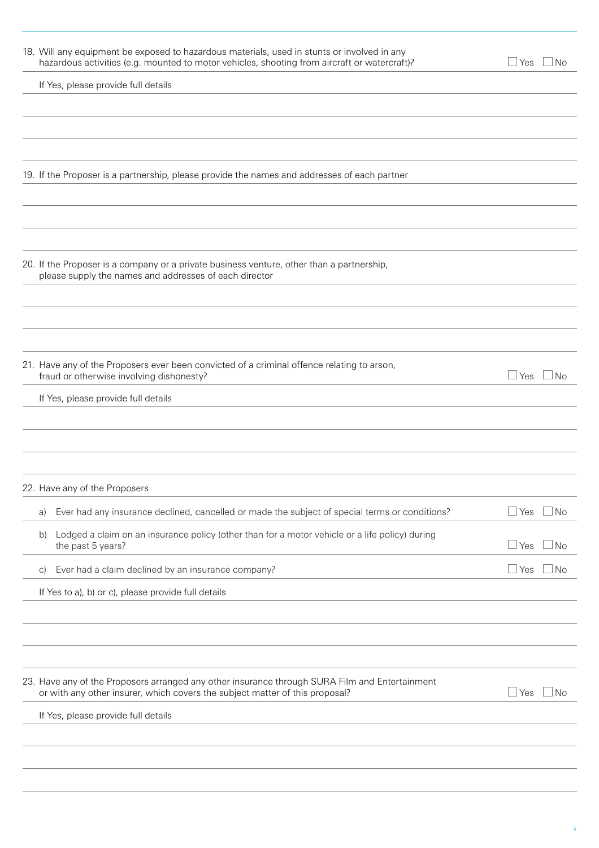| 18. Will any equipment be exposed to hazardous materials, used in stunts or involved in any<br>hazardous activities (e.g. mounted to motor vehicles, shooting from aircraft or watercraft)? | ⊿ Yes        | $\Box$ No |
|---------------------------------------------------------------------------------------------------------------------------------------------------------------------------------------------|--------------|-----------|
| If Yes, please provide full details                                                                                                                                                         |              |           |
|                                                                                                                                                                                             |              |           |
|                                                                                                                                                                                             |              |           |
|                                                                                                                                                                                             |              |           |
| 19. If the Proposer is a partnership, please provide the names and addresses of each partner                                                                                                |              |           |
|                                                                                                                                                                                             |              |           |
|                                                                                                                                                                                             |              |           |
|                                                                                                                                                                                             |              |           |
| 20. If the Proposer is a company or a private business venture, other than a partnership,<br>please supply the names and addresses of each director                                         |              |           |
|                                                                                                                                                                                             |              |           |
|                                                                                                                                                                                             |              |           |
|                                                                                                                                                                                             |              |           |
| 21. Have any of the Proposers ever been convicted of a criminal offence relating to arson,<br>fraud or otherwise involving dishonesty?                                                      | ⊿ Yes        | $\Box$ No |
| If Yes, please provide full details                                                                                                                                                         |              |           |
|                                                                                                                                                                                             |              |           |
|                                                                                                                                                                                             |              |           |
|                                                                                                                                                                                             |              |           |
| 22. Have any of the Proposers                                                                                                                                                               |              |           |
| Ever had any insurance declined, cancelled or made the subject of special terms or conditions?<br>a)                                                                                        | ⊥Yes         | ⊥No       |
| Lodged a claim on an insurance policy (other than for a motor vehicle or a life policy) during<br>b)<br>the past 5 years?                                                                   | ⊥Yes         | No.       |
| Ever had a claim declined by an insurance company?<br>$\vert$ C)                                                                                                                            | $\sqcup$ Yes | No        |
| If Yes to a), b) or c), please provide full details                                                                                                                                         |              |           |
|                                                                                                                                                                                             |              |           |
|                                                                                                                                                                                             |              |           |
|                                                                                                                                                                                             |              |           |
| 23. Have any of the Proposers arranged any other insurance through SURA Film and Entertainment<br>or with any other insurer, which covers the subject matter of this proposal?              | ⊥Yes         | ⊿ No      |
| If Yes, please provide full details                                                                                                                                                         |              |           |
|                                                                                                                                                                                             |              |           |
|                                                                                                                                                                                             |              |           |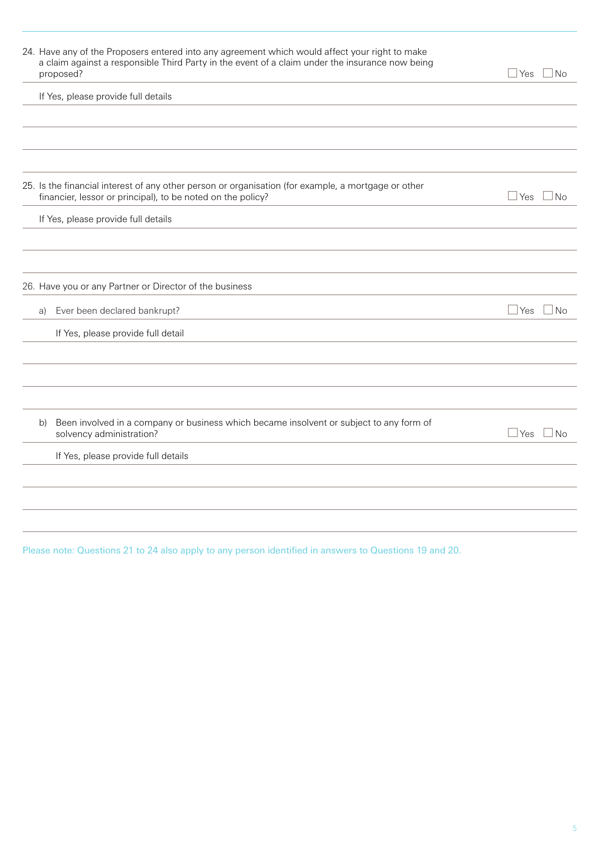| 24. Have any of the Proposers entered into any agreement which would affect your right to make<br>a claim against a responsible Third Party in the event of a claim under the insurance now being<br>proposed? | $\sqcup$ Yes<br>$\overline{\text{No}}$ |
|----------------------------------------------------------------------------------------------------------------------------------------------------------------------------------------------------------------|----------------------------------------|
| If Yes, please provide full details                                                                                                                                                                            |                                        |
|                                                                                                                                                                                                                |                                        |
|                                                                                                                                                                                                                |                                        |
|                                                                                                                                                                                                                |                                        |
| 25. Is the financial interest of any other person or organisation (for example, a mortgage or other<br>financier, lessor or principal), to be noted on the policy?                                             | $\Box$ Yes<br>$\vert$ $\vert$ No       |
| If Yes, please provide full details                                                                                                                                                                            |                                        |
|                                                                                                                                                                                                                |                                        |
|                                                                                                                                                                                                                |                                        |
| 26. Have you or any Partner or Director of the business                                                                                                                                                        |                                        |
| Ever been declared bankrupt?<br>a)                                                                                                                                                                             | $\overline{\text{No}}$<br><b>Yes</b>   |
| If Yes, please provide full detail                                                                                                                                                                             |                                        |
|                                                                                                                                                                                                                |                                        |
|                                                                                                                                                                                                                |                                        |
|                                                                                                                                                                                                                |                                        |
| Been involved in a company or business which became insolvent or subject to any form of<br>b)<br>solvency administration?                                                                                      | ⊿No<br>⊥Yes                            |
| If Yes, please provide full details                                                                                                                                                                            |                                        |
|                                                                                                                                                                                                                |                                        |
|                                                                                                                                                                                                                |                                        |
|                                                                                                                                                                                                                |                                        |

Please note: Questions 21 to 24 also apply to any person identified in answers to Questions 19 and 20.